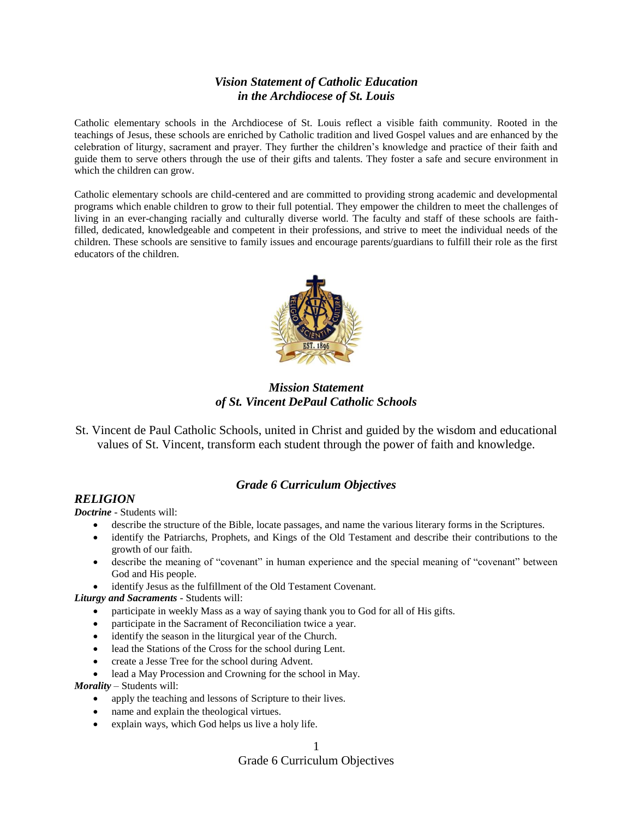# *Vision Statement of Catholic Education in the Archdiocese of St. Louis*

Catholic elementary schools in the Archdiocese of St. Louis reflect a visible faith community. Rooted in the teachings of Jesus, these schools are enriched by Catholic tradition and lived Gospel values and are enhanced by the celebration of liturgy, sacrament and prayer. They further the children's knowledge and practice of their faith and guide them to serve others through the use of their gifts and talents. They foster a safe and secure environment in which the children can grow.

Catholic elementary schools are child-centered and are committed to providing strong academic and developmental programs which enable children to grow to their full potential. They empower the children to meet the challenges of living in an ever-changing racially and culturally diverse world. The faculty and staff of these schools are faithfilled, dedicated, knowledgeable and competent in their professions, and strive to meet the individual needs of the children. These schools are sensitive to family issues and encourage parents/guardians to fulfill their role as the first educators of the children.



*Mission Statement of St. Vincent DePaul Catholic Schools*

St. Vincent de Paul Catholic Schools, united in Christ and guided by the wisdom and educational values of St. Vincent, transform each student through the power of faith and knowledge.

# *Grade 6 Curriculum Objectives*

## *RELIGION*

*Doctrine -* Students will:

- describe the structure of the Bible, locate passages, and name the various literary forms in the Scriptures.
- identify the Patriarchs, Prophets, and Kings of the Old Testament and describe their contributions to the growth of our faith.
- describe the meaning of "covenant" in human experience and the special meaning of "covenant" between God and His people.
- identify Jesus as the fulfillment of the Old Testament Covenant.

*Liturgy and Sacraments -* Students will:

- participate in weekly Mass as a way of saying thank you to God for all of His gifts.
- participate in the Sacrament of Reconciliation twice a year.
- identify the season in the liturgical year of the Church.
- lead the Stations of the Cross for the school during Lent.
- create a Jesse Tree for the school during Advent.
- lead a May Procession and Crowning for the school in May.

*Morality –* Students will:

- apply the teaching and lessons of Scripture to their lives.
- name and explain the theological virtues.
- explain ways, which God helps us live a holy life.

1

## Grade 6 Curriculum Objectives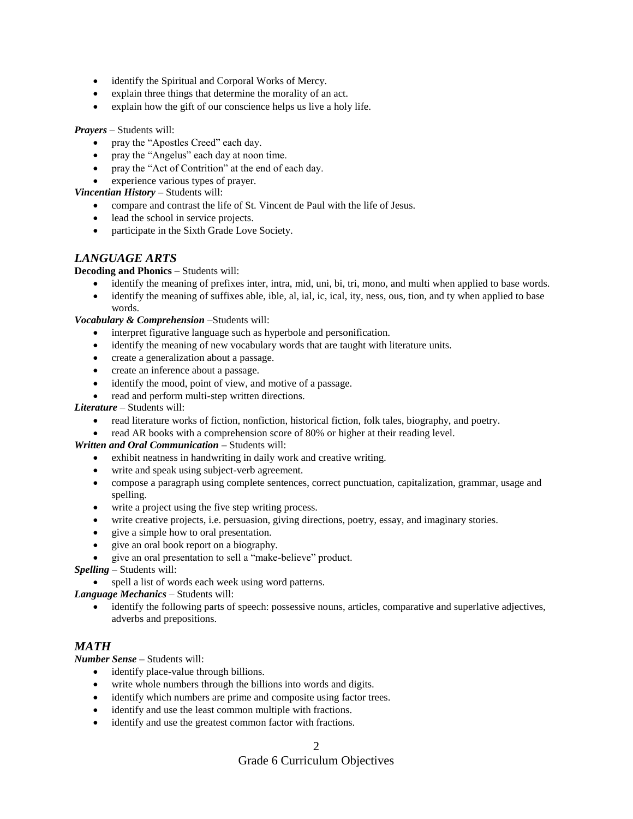- identify the Spiritual and Corporal Works of Mercy.
- explain three things that determine the morality of an act.
- explain how the gift of our conscience helps us live a holy life.

#### *Prayers –* Students will:

- pray the "Apostles Creed" each day.
- pray the "Angelus" each day at noon time.
- pray the "Act of Contrition" at the end of each day.
- experience various types of prayer.

## *Vincentian History –* Students will:

- compare and contrast the life of St. Vincent de Paul with the life of Jesus.
- lead the school in service projects.
- participate in the Sixth Grade Love Society.

## *LANGUAGE ARTS*

## **Decoding and Phonics** – Students will:

- identify the meaning of prefixes inter, intra, mid, uni, bi, tri, mono, and multi when applied to base words.
- identify the meaning of suffixes able, ible, al, ial, ic, ical, ity, ness, ous, tion, and ty when applied to base words.

*Vocabulary & Comprehension* –Students will:

- interpret figurative language such as hyperbole and personification.
- identify the meaning of new vocabulary words that are taught with literature units.
- create a generalization about a passage.
- create an inference about a passage.
- identify the mood, point of view, and motive of a passage.
- read and perform multi-step written directions.

### *Literature* – Students will:

- read literature works of fiction, nonfiction, historical fiction, folk tales, biography, and poetry.
- read AR books with a comprehension score of 80% or higher at their reading level.

*Written and Oral Communication –* Students will:

- exhibit neatness in handwriting in daily work and creative writing.
- write and speak using subject-verb agreement.
- compose a paragraph using complete sentences, correct punctuation, capitalization, grammar, usage and spelling.
- write a project using the five step writing process.
- write creative projects, i.e. persuasion, giving directions, poetry, essay, and imaginary stories.
- give a simple how to oral presentation.
- give an oral book report on a biography.
- give an oral presentation to sell a "make-believe" product.

*Spelling* – Students will:

• spell a list of words each week using word patterns.

*Language Mechanics* – Students will:

 identify the following parts of speech: possessive nouns, articles, comparative and superlative adjectives, adverbs and prepositions.

# *MATH*

*Number Sense –* Students will:

- identify place-value through billions.
- write whole numbers through the billions into words and digits.
- identify which numbers are prime and composite using factor trees.
- identify and use the least common multiple with fractions.
- identify and use the greatest common factor with fractions.

# Grade 6 Curriculum Objectives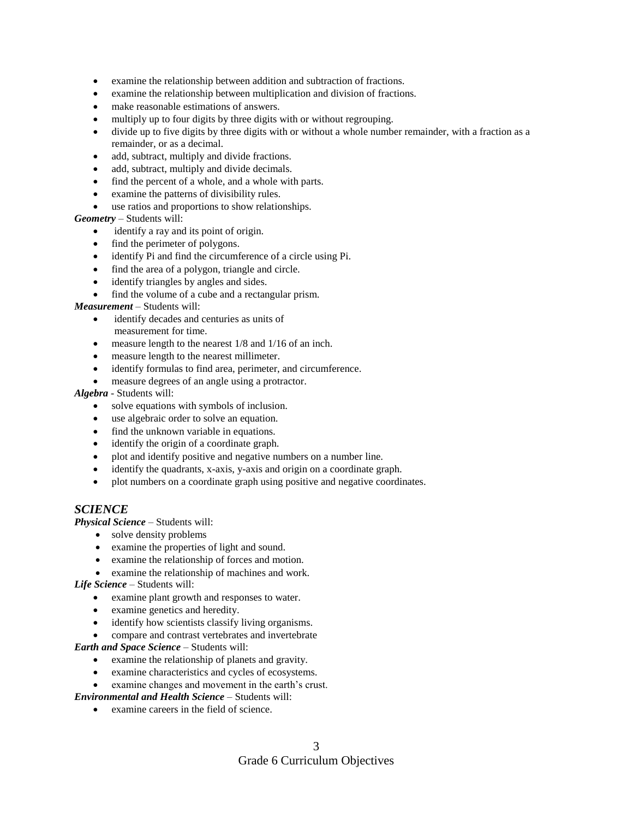- examine the relationship between addition and subtraction of fractions.
- examine the relationship between multiplication and division of fractions.
- make reasonable estimations of answers.
- multiply up to four digits by three digits with or without regrouping.
- divide up to five digits by three digits with or without a whole number remainder, with a fraction as a remainder, or as a decimal.
- add, subtract, multiply and divide fractions.
- add, subtract, multiply and divide decimals.
- find the percent of a whole, and a whole with parts.
- examine the patterns of divisibility rules.
- use ratios and proportions to show relationships.

#### *Geometry* – Students will:

- identify a ray and its point of origin.
- find the perimeter of polygons.
- identify Pi and find the circumference of a circle using Pi.
- find the area of a polygon, triangle and circle.
- identify triangles by angles and sides.
- find the volume of a cube and a rectangular prism.

#### *Measurement* – Students will:

- identify decades and centuries as units of measurement for time.
- measure length to the nearest 1/8 and 1/16 of an inch.
- measure length to the nearest millimeter.
- identify formulas to find area, perimeter, and circumference.
- measure degrees of an angle using a protractor.

#### *Algebra* - Students will:

- solve equations with symbols of inclusion.
- use algebraic order to solve an equation.
- find the unknown variable in equations.
- identify the origin of a coordinate graph.
- plot and identify positive and negative numbers on a number line.
- identify the quadrants, x-axis, y-axis and origin on a coordinate graph.
- plot numbers on a coordinate graph using positive and negative coordinates.

# *SCIENCE*

*Physical Science* – Students will:

- solve density problems
- examine the properties of light and sound.
- examine the relationship of forces and motion.
- examine the relationship of machines and work.

*Life Science* – Students will:

- examine plant growth and responses to water.
- examine genetics and heredity.
- identify how scientists classify living organisms.
- compare and contrast vertebrates and invertebrate

*Earth and Space Science* – Students will:

- examine the relationship of planets and gravity.
- examine characteristics and cycles of ecosystems.
- examine changes and movement in the earth's crust.

*Environmental and Health Science* – Students will:

examine careers in the field of science.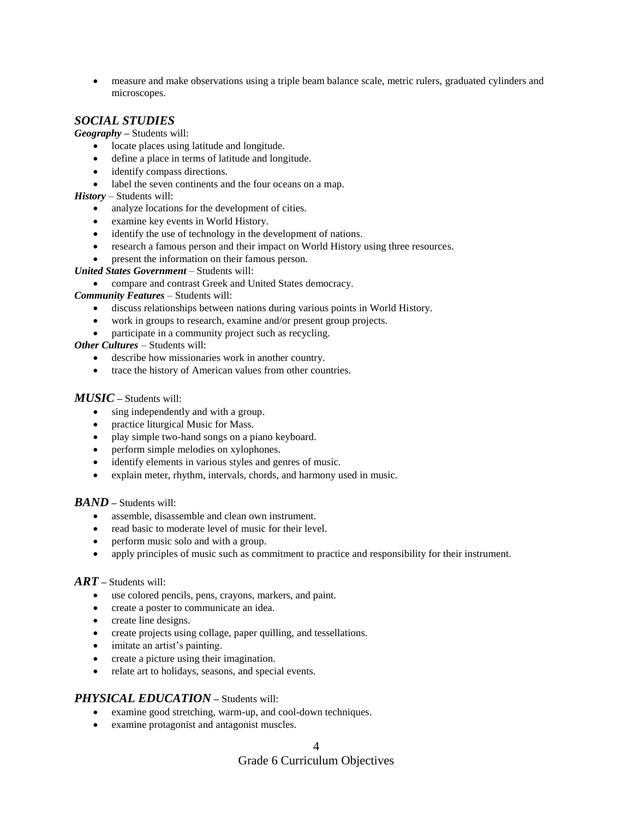measure and make observations using a triple beam balance scale, metric rulers, graduated cylinders and microscopes.

## *SOCIAL STUDIES*

*Geography –* Students will:

- locate places using latitude and longitude.
- define a place in terms of latitude and longitude.
- identify compass directions.
- label the seven continents and the four oceans on a map.
- *History* Students will:
	- analyze locations for the development of cities.
	- examine key events in World History.
	- identify the use of technology in the development of nations.
	- research a famous person and their impact on World History using three resources.
	- present the information on their famous person.

*United States Government* – Students will:

compare and contrast Greek and United States democracy.

*Community Features* – Students will:

- discuss relationships between nations during various points in World History.
- work in groups to research, examine and/or present group projects.
- participate in a community project such as recycling.

*Other Cultures –* Students will:

- describe how missionaries work in another country.
- trace the history of American values from other countries.

#### *MUSIC –* Students will:

- sing independently and with a group.
- practice liturgical Music for Mass.
- play simple two-hand songs on a piano keyboard.
- perform simple melodies on xylophones.
- identify elements in various styles and genres of music.
- explain meter, rhythm, intervals, chords, and harmony used in music.

#### *BAND –* Students will:

- assemble, disassemble and clean own instrument.
- read basic to moderate level of music for their level.
- perform music solo and with a group.
- apply principles of music such as commitment to practice and responsibility for their instrument.

#### *ART –* Students will:

- use colored pencils, pens, crayons, markers, and paint.
- create a poster to communicate an idea.
- create line designs.
- create projects using collage, paper quilling, and tessellations.
- imitate an artist's painting.
- create a picture using their imagination.
- relate art to holidays, seasons, and special events.

#### *PHYSICAL EDUCATION –* Students will:

- examine good stretching, warm-up, and cool-down techniques.
- examine protagonist and antagonist muscles.

# Grade 6 Curriculum Objectives